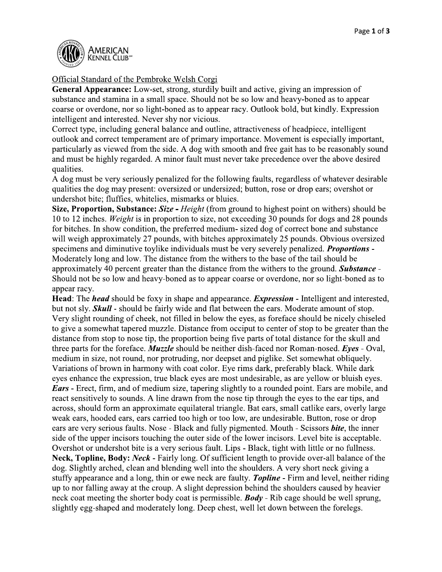

## Official Standard of the Pembroke Welsh Corgi

General Appearance: Low-set, strong, sturdily built and active, giving an impression of substance and stamina in a small space. Should not be so low and heavy-boned as to appear coarse or overdone, nor so light-boned as to appear racy. Outlook bold, but kindly. Expression intelligent and interested. Never shy nor vicious.

Correct type, including general balance and outline, attractiveness of headpiece, intelligent outlook and correct temperament are of primary importance. Movement is especially important, particularly as viewed from the side. A dog with smooth and free gait has to be reasonably sound and must be highly regarded. A minor fault must never take precedence over the above desired qualities.

A dog must be very seriously penalized for the following faults, regardless of whatever desirable qualities the dog may present: oversized or undersized; button, rose or drop ears; overshot or undershot bite; fluffies, whitelies, mismarks or bluies.

Size, Proportion, Substance: Size - Height (from ground to highest point on withers) should be 10 to 12 inches. Weight is in proportion to size, not exceeding 30 pounds for dogs and 28 pounds for bitches. In show condition, the preferred medium- sized dog of correct bone and substance will weigh approximately 27 pounds, with bitches approximately 25 pounds. Obvious oversized specimens and diminutive toylike individuals must be very severely penalized. *Proportions* -Moderately long and low. The distance from the withers to the base of the tail should be approximately 40 percent greater than the distance from the withers to the ground. **Substance** -Should not be so low and heavy-boned as to appear coarse or overdone, nor so light-boned as to appear racy.

**Head:** The *head* should be foxy in shape and appearance. *Expression* - Intelligent and interested, but not sly. **Skull** - should be fairly wide and flat between the ears. Moderate amount of stop. Very slight rounding of cheek, not filled in below the eyes, as foreface should be nicely chiseled to give a somewhat tapered muzzle. Distance from occiput to center of stop to be greater than the distance from stop to nose tip, the proportion being five parts of total distance for the skull and three parts for the foreface. Muzzle should be neither dish-faced nor Roman-nosed. Eyes - Oval, medium in size, not round, nor protruding, nor deepset and piglike. Set somewhat obliquely. Variations of brown in harmony with coat color. Eye rims dark, preferably black. While dark eyes enhance the expression, true black eyes are most undesirable, as are yellow or bluish eyes. **Ears** - Erect, firm, and of medium size, tapering slightly to a rounded point. Ears are mobile, and react sensitively to sounds. A line drawn from the nose tip through the eyes to the ear tips, and across, should form an approximate equilateral triangle. Bat ears, small catlike ears, overly large weak ears, hooded ears, ears carried too high or too low, are undesirable. Button, rose or drop ears are very serious faults. Nose - Black and fully pigmented. Mouth - Scissors bite, the inner side of the upper incisors touching the outer side of the lower incisors. Level bite is acceptable. Overshot or undershot bite is a very serious fault. Lips - Black, tight with little or no fullness. Neck, Topline, Body: Neck - Fairly long. Of sufficient length to provide over-all balance of the dog. Slightly arched, clean and blending well into the shoulders. A very short neck giving a stuffy appearance and a long, thin or ewe neck are faulty. Topline - Firm and level, neither riding up to nor falling away at the croup. A slight depression behind the shoulders caused by heavier neck coat meeting the shorter body coat is permissible. Body - Rib cage should be well sprung, slightly egg-shaped and moderately long. Deep chest, well let down between the forelegs.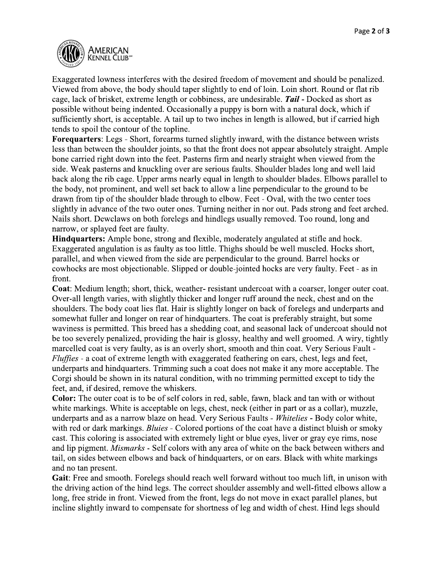

Exaggerated lowness interferes with the desired freedom of movement and should be penalized. Viewed from above, the body should taper slightly to end of loin. Loin short. Round or flat rib cage, lack of brisket, extreme length or cobbiness, are undesirable. Tail - Docked as short as possible without being indented. Occasionally a puppy is born with a natural dock, which if sufficiently short, is acceptable. A tail up to two inches in length is allowed, but if carried high tends to spoil the contour of the topline.

Forequarters: Legs - Short, forearms turned slightly inward, with the distance between wrists less than between the shoulder joints, so that the front does not appear absolutely straight. Ample bone carried right down into the feet. Pasterns firm and nearly straight when viewed from the side. Weak pasterns and knuckling over are serious faults. Shoulder blades long and well laid back along the rib cage. Upper arms nearly equal in length to shoulder blades. Elbows parallel to the body, not prominent, and well set back to allow a line perpendicular to the ground to be drawn from tip of the shoulder blade through to elbow. Feet - Oval, with the two center toes slightly in advance of the two outer ones. Turning neither in nor out. Pads strong and feet arched. Nails short. Dewclaws on both forelegs and hindlegs usually removed. Too round, long and narrow, or splayed feet are faulty.

Hindquarters: Ample bone, strong and flexible, moderately angulated at stifle and hock. Exaggerated angulation is as faulty as too little. Thighs should be well muscled. Hocks short, parallel, and when viewed from the side are perpendicular to the ground. Barrel hocks or cowhocks are most objectionable. Slipped or double-jointed hocks are very faulty. Feet - as in front.

**Coat:** Medium length; short, thick, weather- resistant undercoat with a coarser, longer outer coat. Over-all length varies, with slightly thicker and longer ruff around the neck, chest and on the shoulders. The body coat lies flat. Hair is slightly longer on back of forelegs and underparts and somewhat fuller and longer on rear of hindquarters. The coat is preferably straight, but some waviness is permitted. This breed has a shedding coat, and seasonal lack of undercoat should not be too severely penalized, providing the hair is glossy, healthy and well groomed. A wiry, tightly marcelled coat is very faulty, as is an overly short, smooth and thin coat. Very Serious Fault -Fluffies - a coat of extreme length with exaggerated feathering on ears, chest, legs and feet, underparts and hindquarters. Trimming such a coat does not make it any more acceptable. The Corgi should be shown in its natural condition, with no trimming permitted except to tidy the feet, and, if desired, remove the whiskers.

**Color:** The outer coat is to be of self colors in red, sable, fawn, black and tan with or without white markings. White is acceptable on legs, chest, neck (either in part or as a collar), muzzle, underparts and as a narrow blaze on head. Very Serious Faults - Whitelies - Body color white, with red or dark markings. Bluies - Colored portions of the coat have a distinct bluish or smoky cast. This coloring is associated with extremely light or blue eyes, liver or gray eye rims, nose and lip pigment. Mismarks - Self colors with any area of white on the back between withers and tail, on sides between elbows and back of hindquarters, or on ears. Black with white markings and no tan present.

Gait: Free and smooth. Forelegs should reach well forward without too much lift, in unison with the driving action of the hind legs. The correct shoulder assembly and well-fitted elbows allow a long, free stride in front. Viewed from the front, legs do not move in exact parallel planes, but incline slightly inward to compensate for shortness of leg and width of chest. Hind legs should